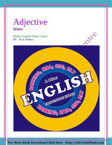Adjective ͪवशेषण

Mishra English Study Centre BY – M. K. Mishra

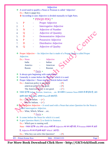|    |                                                                                                    |                                                     | Adjective                                                       |  |                                                                                                |  |  |
|----|----------------------------------------------------------------------------------------------------|-----------------------------------------------------|-----------------------------------------------------------------|--|------------------------------------------------------------------------------------------------|--|--|
| 參  |                                                                                                    |                                                     | A word used to qualify a Noun or Pronoun is called 'Adjective'. |  |                                                                                                |  |  |
|    | Ex.:- Ram is smart boy.                                                                            |                                                     |                                                                 |  |                                                                                                |  |  |
|    | • According to uses Adjective is divided manually in Eight Parts.                                  |                                                     |                                                                 |  |                                                                                                |  |  |
|    | * PINQD PDQ *                                                                                      |                                                     |                                                                 |  |                                                                                                |  |  |
| 1. | $\mathbf P$                                                                                        |                                                     | <b>Proper Adjective</b>                                         |  |                                                                                                |  |  |
| 2. | $\bf{I}$                                                                                           |                                                     | <b>Interrogative Adjective</b>                                  |  |                                                                                                |  |  |
| 3. | N                                                                                                  |                                                     | <b>Adjective of Number</b>                                      |  |                                                                                                |  |  |
| 4. | Q                                                                                                  |                                                     | <b>Adjective of Quantity</b>                                    |  |                                                                                                |  |  |
| 5. | D                                                                                                  |                                                     | <b>Demonstrative Adjective</b>                                  |  |                                                                                                |  |  |
| 6. | $\mathbf{P}$                                                                                       |                                                     | Possessive Adjective                                            |  | DEFE                                                                                           |  |  |
| 7. | D                                                                                                  |                                                     | <b>Distributive Adjective</b>                                   |  |                                                                                                |  |  |
| 8. | Q                                                                                                  |                                                     | <b>Adjective of Quality</b>                                     |  |                                                                                                |  |  |
| ❖  |                                                                                                    |                                                     |                                                                 |  | Proper Adjective – An Adjective that is made of a Proper Noun is called Proper                 |  |  |
|    | Adjective.                                                                                         |                                                     |                                                                 |  |                                                                                                |  |  |
|    | Ex.:- Noun                                                                                         |                                                     | Adjective                                                       |  |                                                                                                |  |  |
|    | India                                                                                              |                                                     | Indian                                                          |  |                                                                                                |  |  |
|    | America                                                                                            |                                                     | American                                                        |  |                                                                                                |  |  |
|    | Russia                                                                                             |                                                     | Russian                                                         |  |                                                                                                |  |  |
|    |                                                                                                    | * Facts $\triangleright$                            |                                                                 |  |                                                                                                |  |  |
| 參  |                                                                                                    |                                                     | It always gets beginning with capital letter.                   |  |                                                                                                |  |  |
| ❖  |                                                                                                    |                                                     | Generally it comes before the Noun for which it is used.        |  |                                                                                                |  |  |
|    | Proper Adjective + Noun must get Article before itself.<br>❖                                       |                                                     |                                                                 |  |                                                                                                |  |  |
|    | Ex.:- American policy is pot good.<br>$-({\bf x})$                                                 |                                                     |                                                                 |  |                                                                                                |  |  |
|    | american policy is not good.<br>$ (\times)$<br>The American policy is not good.<br>$-(\checkmark)$ |                                                     |                                                                 |  |                                                                                                |  |  |
|    |                                                                                                    |                                                     |                                                                 |  | * ध्यान रहे कि Indian, Russian, American, etc. का प्रयोग Common Noun स्वरूप मे भी होता है, अतः |  |  |
|    |                                                                                                    |                                                     |                                                                 |  |                                                                                                |  |  |
|    | इसके तहत ये <i>Singdiar</i> अथवा Plural हो सकते हैं।                                               |                                                     |                                                                 |  |                                                                                                |  |  |
|    | Ex.:- $\int$ am an Indian. $-(\checkmark)$                                                         |                                                     |                                                                 |  |                                                                                                |  |  |
|    |                                                                                                    | $\mathbf{W}\mathbf{e}$ are Indians. $-(\mathbf{v})$ |                                                                 |  | Interrogative Adjective - A word used with a Noun that arises Question for the Noun is         |  |  |
|    | called Interrogative Adjective.                                                                    |                                                     |                                                                 |  |                                                                                                |  |  |
|    | Ex.:- What, Which, Whose etc.                                                                      |                                                     |                                                                 |  |                                                                                                |  |  |
|    |                                                                                                    | * Facts $\triangleright$                            |                                                                 |  |                                                                                                |  |  |
| 參  |                                                                                                    |                                                     | It comes before the Noun for which it is used.                  |  |                                                                                                |  |  |
| ❖  |                                                                                                    |                                                     | It gets Question Mark (?) to finish its Sentence.               |  |                                                                                                |  |  |
|    | Ex.:- Which pen is running well.                                                                   |                                                     |                                                                 |  |                                                                                                |  |  |
|    |                                                                                                    |                                                     |                                                                 |  | Note - ध्यान रहे कि who तथा whom कभी भी Adjective का रूप नहीं लेते, ये Pronoun स्वरूप मे आते   |  |  |
|    |                                                                                                    |                                                     | है, Adjective के रूप में इनके बदले 'Which' आते है।              |  |                                                                                                |  |  |
|    | Ex.:- Who boy can solve this Question?<br>$-({\bf x})$                                             |                                                     |                                                                 |  |                                                                                                |  |  |
|    | <b>BY</b> - Pritam Kumar Raw                                                                       |                                                     | Mob. - 9534411155                                               |  | Page 2                                                                                         |  |  |
|    |                                                                                                    |                                                     |                                                                 |  |                                                                                                |  |  |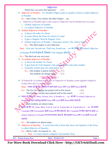### Adjective

Which boy can solve this Question?  $-(\checkmark)$ 

Adjective of Number – If a Number (Digit) comes to qualify a Noun is called Adjective of Number.

Ex.:- One wicket, Two wicket, the third Umpire ...etc.

- Adjective of Number that is also a part of Adjective can be divided into two parts.
	- 1. Ordinal Adjective of Number
	- 2. Co-ordinal Adjective of Number
- $\triangleleft$  Ordinal Adjective of Number
	- a. It shows the order of a Noun
	- b. It comes before the Noun for which it is used.
	- c. It gets a Singular Noun & Singular Verb.
	- d. Ordinal Adjective of Number + Noun gets Article 'The' before itself. Ex.:- The third umpire is very laborious.

Note – First one, Second one, Third one, Fourth one ...etc का प्रोयेश भी Ordinal Adjective

of Number के रूप में होता हैं, जिसका Verb Singular होता हैं।

Ex.:- The third one was very easy.

- $\triangleleft$  Co-ordinal Adjective of Number
	- a. It shows the number of a Noun.
	- b. It gets Noun  $&$  Verb Singular with one and Plural with other number.
	- c. Generally Article does not come before its
		- Ex.:- One student is absent today.  $\bullet$  ( $\checkmark$ )
			- Ten students are absent today.  $\neg$   $-\left(\checkmark\right)$

# \* Special Note >

❖ If Ordinal & Co-ordinal both kinds of Adjective of Number come together Ordinal is written first and Co-ordinal is later.

Note – ध्यान रहे कि इस अकर्स्था में आने वाला Noun तथा Verb दोनों Plural रहता हैं।

Ex.:- The five first wicket has played well in this match.  $-(\mathbf{x})$ The first five wickets have played well in this match.  $-$  ( $\checkmark$ )

\* ध्यान रहे कि Both, Many, Several, Few, A Number of, ...etc को भी Co-ordinal Adjective of

Number के तहत रखते हु एड़नका Noun तथा Verb दोनों Plural माना जाता हैं।

**Ex.:-**Both students are absent today.

ध्यान रहे कि All, Some, Most, A lot of, Lots of, A great deal of, A good deal of, ...etc का प्रयोग

Countable तथा Uncountable दोनों Nouns के लिए होता है, अतः Countable के लिए रहने पर इन्हे Co-

ordinal Adjective of Number के रूप मे दरश्य जाता है, और इनका Noun तथा Verb दोनों Plural हो

जाते हैं।

Ex.:- All students are absent today.

Adjective of Quantity – A word used with a Noun that shows the Quantity of the Noun is called Adjective of Quantity.

Ex.:- Much, Little, An amount of ...etc.

1. Note – It comes before a Singular Uncountable Noun.

**BY** - Pritam Kumar Raw

Mob. - 9534411155

Page 3

B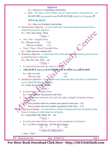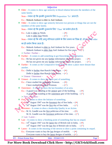|   | Adjective                                                                                                                                           |        |
|---|-----------------------------------------------------------------------------------------------------------------------------------------------------|--------|
|   | $\triangleleft$ Elder – It comes to show age seniority in blood relation between the members of the<br>same family.                                 |        |
|   | Note – ध्यान रहे कि इसकी तुलना के लिए Preposition 'To' आता हैं।                                                                                     |        |
|   | Ex.:- Mukesh Ambani is elder to Anil Ambani.                                                                                                        |        |
| 參 | Older – It comes to show age seniority between two persons or things that are not the<br>members of the same family.                                |        |
|   | Note – ध्यान रहे कि इसकी तुलना के लिए 'Than' का प्रयोग होता हैं।                                                                                    |        |
|   | Ex.:- Lalu is elder to Nitish.<br>$-({\bf x})$                                                                                                      |        |
|   | $-$ ( $\checkmark$ )<br>Lalu is older than Nitish.                                                                                                  |        |
|   | Note – ध्यान रहे कि यदि आयु वरिष्ठता दर्शाने के लिए समय का जिक्र हो, तो हर जबाई older                                                               |        |
|   | का ही प्रयोग किया जाता हैं।                                                                                                                         |        |
|   | Ex.:- Mukesh Ambani is elder to Anil Ambani for five years.                                                                                         |        |
|   | Mukesh Ambani is older than Anil Ambani for five years.                                                                                             |        |
|   | $\triangleright$ Further / Farther –                                                                                                                |        |
| 豪 | Further – It comes to add something in got Knowledge of Information.                                                                                |        |
|   | Ex.:- He has not given me any <u>farther</u> information about the project.<br>$-({\bf x})$                                                         |        |
|   | He has not given me any <u>further</u> information about the project.<br>$-(\checkmark)$                                                            |        |
|   | $\bullet$ Farther – It comes as the Comparative form of far to show a place more distant than<br>another.                                           |        |
|   | Ex.:- Delhi is <u>further</u> than Ranchi from Patna. $-(\star)$                                                                                    |        |
|   | Delhi is <u>farther</u> than Ranchi from Patna. $-(\checkmark)$                                                                                     |        |
|   | $\triangleright$ Utmost / Outermost –                                                                                                               |        |
| 參 | Utmost – It comes to show the entire part of something.                                                                                             |        |
|   | Ex.:- I have studied the outermost Pronoun.<br>$-({\bf x})$                                                                                         |        |
|   | I have studied the utmost Pronoun.<br>$-(\checkmark)$                                                                                               |        |
|   | $\bullet$ Outermost – It comes to show the last boundary of an area.                                                                                |        |
|   | Ex.:- A guard was standing at the utmost gate of the building.<br>$-({\bf x})$                                                                      |        |
|   | A guard was standing at the <u>outermost</u> gate of the building. $-(\checkmark)$                                                                  |        |
|   | $\triangleright$ First / Foremost –                                                                                                                 |        |
|   | First - It comes to show the Initiator of something.                                                                                                |        |
|   | $Ex.$ 16 <sup>th</sup> August 1947 was the <u>foremost</u> day of free India. $-(x)$                                                                |        |
|   | 16 <sup>th</sup> August 1947 was the <u>first</u> day of free India.<br>$-(\checkmark)$                                                             |        |
|   | ** <b>Foremost</b> – It comes to show a leadership Quality in an Action.                                                                            |        |
|   | Ex.:- M. K. Gandhi was the first politician of his time.<br>$ (\times)$                                                                             |        |
|   | M. K. Gandhi was the <u>foremost</u> politician of his time. $-(\checkmark)$                                                                        |        |
|   | $\triangleright$ Last / Latest –                                                                                                                    |        |
| 參 | Last – It comes to show a finishing point of something that has no sequel.                                                                          |        |
|   | Ex.:- 14 <sup>th</sup> August 1947 was the <u>latest</u> day of British rule in India. $-(\star)$                                                   |        |
|   | 14 <sup>th</sup> August 1947 was the <u>last</u> day of British rule in India. $-(\checkmark)$                                                      |        |
|   | $\triangleleft$ Latest – It comes in the meaning of the newest to show a point containing its sequel.                                               |        |
|   | Ex.:- Everyone wants to buy the <u>last</u> designs of mobile. $-(x)$<br>Everyone wants to buy the <u>latest</u> designs of mobile. $-(\checkmark)$ |        |
|   |                                                                                                                                                     |        |
|   | <b>BY</b> - Pritam Kumar Raw<br>Mob. - 9534411155                                                                                                   | Page 5 |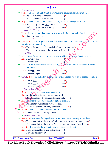# Adjective

|   | $\triangleright$ Some / Any –                                                                |
|---|----------------------------------------------------------------------------------------------|
|   | Some – To show a Small Number or Quantity it comes in Affirmative Sense.                     |
|   | Ex.:- He has given me <u>any</u> money.<br>$-({\bf x})$                                      |
|   | He has given me some money.<br>$-(\checkmark)$                                               |
|   | ❖ Any – To show a Small Number or Quantity it comes in Negative Sense.                       |
|   | Ex.:- He has not given me some money.<br>$-({\bf x})$                                        |
|   | He has not given me <u>any</u> money.<br>$ (\checkmark)$                                     |
|   | $\triangleright$ Very / the Very –                                                           |
|   | ❖ Very – It is an Adverb that comes before an Adjective to stress its Quality.               |
|   | Ex.:- Ram is very smart.                                                                     |
|   | Adv. Adj.                                                                                    |
| 參 | The Very – It is an Adjective that comes before a Noun in the sense of the same to Re-       |
|   | Introduce a person or thing.                                                                 |
|   | Ex.:- This is the same boy that has helped me in trouble.<br>$-$ ( $\checkmark$              |
|   | This is the very boy that has helped me in trouble.                                          |
|   | $\triangleright$ No / Not -                                                                  |
|   | $\bullet$ No – It is an Adjective that comes just before a Noun to make a Negative sense.    |
|   | Ex.:- I have not car.<br>$ (\star)$                                                          |
|   | I have <u>no</u> car.                                                                        |
|   | $\bullet$ Not – It is an Adverb that comes to qualify an Adjective, Verb & another Adverb in |
|   | Negative sense.                                                                              |
|   | Ex.:- I have $\underline{no}$ a pen.<br>$-({\bf x})$                                         |
|   | $-(\checkmark)$<br>I have <u>not</u> a pen.                                                  |
| 豪 | Own (अपना) - As Adjective A comes just after a Possessive form to stress Possession.         |
|   |                                                                                              |
|   | Ex.:- This is <u>own</u> car.<br>$-({\bf x})$                                                |
|   | $-(\checkmark)$<br>This is <u>my</u> car.                                                    |
|   | This is my own car.<br>$-(\checkmark)$                                                       |
|   | > Both, All & Whole                                                                          |
|   | $\bullet$ Both – It comes to show two options together.                                      |
|   | Ex.:- $\underline{All}$ the sides of the coin are shinning well.<br>$ (\mathbf{x})$          |
|   | A Both the sides of the coin are shinning well. $-(\checkmark)$                              |
| 豪 | All leading to show more than two options together.                                          |
|   | $B_X$ : $\rightarrow$ Both the ten students are very laborious.<br>$-({\bf x})$              |
|   | All the ten students are very laborious.<br>$ (\checkmark)$                                  |
|   | $\blacktriangleright$ Whole – It comes to show the entire part of something.                 |
|   | Ex.:- The whole class is making a noise.                                                     |
|   | $\triangleright$ Nearest / Next to –                                                         |
|   | Nearest – It comes as the Superlative form of near in the meaning of the closest.            |
|   | Ex.:- You should inform the <u>next</u> to Police station in the case of murder. $-(\star)$  |
|   | You should inform the <u>nearest</u> Police station in the case of murder. $-(\checkmark)$   |
|   | Next to $-$ It comes to show something placing just beside another.                          |
|   | Ex.:- Mona Cinema Hall is next to Elifiston.<br>$-(\checkmark)$                              |
|   | $-(\checkmark)$<br>May I sit next to you?                                                    |
|   |                                                                                              |
|   | <b>BY</b> - Pritam Kumar Raw<br>Page 6<br>Mob. - 9534411155                                  |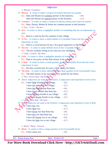| Adjective |
|-----------|
|-----------|

| $\bullet$ Mutual – It comes to make a reciprocal relation between two parties.<br>Ex.:- Ram and Shyam are common partner in this business.<br>$-({\bf x})$<br>Ram and Shyam are mutual partner in this business.<br>$-$ ( $\checkmark$ )<br>$\bullet$ Common – It comes to make a reciprocal relation among more than two parties.<br>Ex.:- Ram, Shyam, Mohan & Sohan are common partner in this business.<br>$\triangleright$ Few / A few / the few -<br>$\cdot \cdot \cdot$ Few – It comes to show a negligible number of something that has no importance in<br>uses.<br>Ex.:- Ram is a saint he has few enemies in this village.<br>A Few – It comes to show a small number of Countable Nouns that has some<br>參<br>importance in uses.<br>Ex.:- Ram is a social person; he has a few good supporters in this village<br>$\cdot \cdot$ The few – It comes to make definite form of few Countable Nouns.<br>Ex.:- The few students sitting in my class are very intelligent.<br>$\triangleright$ Little / A little / the little –<br>$\triangleleft$ Little – It comes to show a negligible quantity of something.<br>Ex.:- Ram is very poor, he has little money in his account.<br>A little – It comes to show a small quantity of a Uncountable Noun that has some<br>參<br>importance in uses.<br>Ex.:- He does s private job, he saves a little money for future.<br>The little – It comes to show definite form of little quantity of an Uncountable Noun.<br>參<br>Ex.:- The little money in my account is very useful for my future.<br>$\triangleright$ Few / Fewer than / the fewest<br>Above Adjectives are used as the Positive, Comparative and Superlative form of few.<br>參<br>Ex.:- I have <u>little</u> friends in my village.<br>$-({\bf x})$<br>I have <u>few</u> friends in my village.<br>$-(\checkmark)$<br>I have <u>less</u> friends than Ram has.<br>$-({\bf x})$<br>I have fewer friends than Ram has.<br>$ (\checkmark)$<br>I have the least friends in my village.<br>$-({\bf x})$<br>I have the <u>fewest</u> friends in my village. $-(\checkmark)$<br>$\triangleright$ Little / little than / the least –<br>Above Adjective are used as the Positive, Comparative and Superlative form of little.<br>$Ex.$ I have <u>few</u> rice.<br>$-({\bf x})$<br>$-(\checkmark)$<br>I have little rice.<br>I have fewer rice than Ram has.<br>$-({\bf x})$<br>I have less rice than Ram has.<br>$-(\checkmark)$<br>I have the <u>fewest</u> rice in my village. $-(\star)$<br>$ (\checkmark)$<br>I have the <u>least</u> rice in my village.<br>$\triangleright$ Much / Many / Several –<br>$\bullet$ Much – It comes to show a large quantity of an Uncountable Noun.<br>Ex.:- I have many rice.<br>$-({\bf x})$<br><b>BY</b> - Pritam Kumar Raw<br>Mob. - 9534411155 | $\triangleright$ Mutual / Common – |        |
|-----------------------------------------------------------------------------------------------------------------------------------------------------------------------------------------------------------------------------------------------------------------------------------------------------------------------------------------------------------------------------------------------------------------------------------------------------------------------------------------------------------------------------------------------------------------------------------------------------------------------------------------------------------------------------------------------------------------------------------------------------------------------------------------------------------------------------------------------------------------------------------------------------------------------------------------------------------------------------------------------------------------------------------------------------------------------------------------------------------------------------------------------------------------------------------------------------------------------------------------------------------------------------------------------------------------------------------------------------------------------------------------------------------------------------------------------------------------------------------------------------------------------------------------------------------------------------------------------------------------------------------------------------------------------------------------------------------------------------------------------------------------------------------------------------------------------------------------------------------------------------------------------------------------------------------------------------------------------------------------------------------------------------------------------------------------------------------------------------------------------------------------------------------------------------------------------------------------------------------------------------------------------------------------------------------------------------------------------------------------------------------------------------------------------------------------------------------------------------------------------------------------------------------------------------------------------------------------------------------------------------------------------------------------------------------------------------------------------------------------------------------------------------------------------|------------------------------------|--------|
|                                                                                                                                                                                                                                                                                                                                                                                                                                                                                                                                                                                                                                                                                                                                                                                                                                                                                                                                                                                                                                                                                                                                                                                                                                                                                                                                                                                                                                                                                                                                                                                                                                                                                                                                                                                                                                                                                                                                                                                                                                                                                                                                                                                                                                                                                                                                                                                                                                                                                                                                                                                                                                                                                                                                                                                               |                                    |        |
|                                                                                                                                                                                                                                                                                                                                                                                                                                                                                                                                                                                                                                                                                                                                                                                                                                                                                                                                                                                                                                                                                                                                                                                                                                                                                                                                                                                                                                                                                                                                                                                                                                                                                                                                                                                                                                                                                                                                                                                                                                                                                                                                                                                                                                                                                                                                                                                                                                                                                                                                                                                                                                                                                                                                                                                               |                                    |        |
|                                                                                                                                                                                                                                                                                                                                                                                                                                                                                                                                                                                                                                                                                                                                                                                                                                                                                                                                                                                                                                                                                                                                                                                                                                                                                                                                                                                                                                                                                                                                                                                                                                                                                                                                                                                                                                                                                                                                                                                                                                                                                                                                                                                                                                                                                                                                                                                                                                                                                                                                                                                                                                                                                                                                                                                               |                                    |        |
|                                                                                                                                                                                                                                                                                                                                                                                                                                                                                                                                                                                                                                                                                                                                                                                                                                                                                                                                                                                                                                                                                                                                                                                                                                                                                                                                                                                                                                                                                                                                                                                                                                                                                                                                                                                                                                                                                                                                                                                                                                                                                                                                                                                                                                                                                                                                                                                                                                                                                                                                                                                                                                                                                                                                                                                               |                                    |        |
|                                                                                                                                                                                                                                                                                                                                                                                                                                                                                                                                                                                                                                                                                                                                                                                                                                                                                                                                                                                                                                                                                                                                                                                                                                                                                                                                                                                                                                                                                                                                                                                                                                                                                                                                                                                                                                                                                                                                                                                                                                                                                                                                                                                                                                                                                                                                                                                                                                                                                                                                                                                                                                                                                                                                                                                               |                                    |        |
|                                                                                                                                                                                                                                                                                                                                                                                                                                                                                                                                                                                                                                                                                                                                                                                                                                                                                                                                                                                                                                                                                                                                                                                                                                                                                                                                                                                                                                                                                                                                                                                                                                                                                                                                                                                                                                                                                                                                                                                                                                                                                                                                                                                                                                                                                                                                                                                                                                                                                                                                                                                                                                                                                                                                                                                               |                                    |        |
|                                                                                                                                                                                                                                                                                                                                                                                                                                                                                                                                                                                                                                                                                                                                                                                                                                                                                                                                                                                                                                                                                                                                                                                                                                                                                                                                                                                                                                                                                                                                                                                                                                                                                                                                                                                                                                                                                                                                                                                                                                                                                                                                                                                                                                                                                                                                                                                                                                                                                                                                                                                                                                                                                                                                                                                               |                                    |        |
|                                                                                                                                                                                                                                                                                                                                                                                                                                                                                                                                                                                                                                                                                                                                                                                                                                                                                                                                                                                                                                                                                                                                                                                                                                                                                                                                                                                                                                                                                                                                                                                                                                                                                                                                                                                                                                                                                                                                                                                                                                                                                                                                                                                                                                                                                                                                                                                                                                                                                                                                                                                                                                                                                                                                                                                               |                                    |        |
|                                                                                                                                                                                                                                                                                                                                                                                                                                                                                                                                                                                                                                                                                                                                                                                                                                                                                                                                                                                                                                                                                                                                                                                                                                                                                                                                                                                                                                                                                                                                                                                                                                                                                                                                                                                                                                                                                                                                                                                                                                                                                                                                                                                                                                                                                                                                                                                                                                                                                                                                                                                                                                                                                                                                                                                               |                                    |        |
|                                                                                                                                                                                                                                                                                                                                                                                                                                                                                                                                                                                                                                                                                                                                                                                                                                                                                                                                                                                                                                                                                                                                                                                                                                                                                                                                                                                                                                                                                                                                                                                                                                                                                                                                                                                                                                                                                                                                                                                                                                                                                                                                                                                                                                                                                                                                                                                                                                                                                                                                                                                                                                                                                                                                                                                               |                                    |        |
|                                                                                                                                                                                                                                                                                                                                                                                                                                                                                                                                                                                                                                                                                                                                                                                                                                                                                                                                                                                                                                                                                                                                                                                                                                                                                                                                                                                                                                                                                                                                                                                                                                                                                                                                                                                                                                                                                                                                                                                                                                                                                                                                                                                                                                                                                                                                                                                                                                                                                                                                                                                                                                                                                                                                                                                               |                                    |        |
|                                                                                                                                                                                                                                                                                                                                                                                                                                                                                                                                                                                                                                                                                                                                                                                                                                                                                                                                                                                                                                                                                                                                                                                                                                                                                                                                                                                                                                                                                                                                                                                                                                                                                                                                                                                                                                                                                                                                                                                                                                                                                                                                                                                                                                                                                                                                                                                                                                                                                                                                                                                                                                                                                                                                                                                               |                                    |        |
|                                                                                                                                                                                                                                                                                                                                                                                                                                                                                                                                                                                                                                                                                                                                                                                                                                                                                                                                                                                                                                                                                                                                                                                                                                                                                                                                                                                                                                                                                                                                                                                                                                                                                                                                                                                                                                                                                                                                                                                                                                                                                                                                                                                                                                                                                                                                                                                                                                                                                                                                                                                                                                                                                                                                                                                               |                                    |        |
|                                                                                                                                                                                                                                                                                                                                                                                                                                                                                                                                                                                                                                                                                                                                                                                                                                                                                                                                                                                                                                                                                                                                                                                                                                                                                                                                                                                                                                                                                                                                                                                                                                                                                                                                                                                                                                                                                                                                                                                                                                                                                                                                                                                                                                                                                                                                                                                                                                                                                                                                                                                                                                                                                                                                                                                               |                                    |        |
|                                                                                                                                                                                                                                                                                                                                                                                                                                                                                                                                                                                                                                                                                                                                                                                                                                                                                                                                                                                                                                                                                                                                                                                                                                                                                                                                                                                                                                                                                                                                                                                                                                                                                                                                                                                                                                                                                                                                                                                                                                                                                                                                                                                                                                                                                                                                                                                                                                                                                                                                                                                                                                                                                                                                                                                               |                                    |        |
|                                                                                                                                                                                                                                                                                                                                                                                                                                                                                                                                                                                                                                                                                                                                                                                                                                                                                                                                                                                                                                                                                                                                                                                                                                                                                                                                                                                                                                                                                                                                                                                                                                                                                                                                                                                                                                                                                                                                                                                                                                                                                                                                                                                                                                                                                                                                                                                                                                                                                                                                                                                                                                                                                                                                                                                               |                                    |        |
|                                                                                                                                                                                                                                                                                                                                                                                                                                                                                                                                                                                                                                                                                                                                                                                                                                                                                                                                                                                                                                                                                                                                                                                                                                                                                                                                                                                                                                                                                                                                                                                                                                                                                                                                                                                                                                                                                                                                                                                                                                                                                                                                                                                                                                                                                                                                                                                                                                                                                                                                                                                                                                                                                                                                                                                               |                                    |        |
|                                                                                                                                                                                                                                                                                                                                                                                                                                                                                                                                                                                                                                                                                                                                                                                                                                                                                                                                                                                                                                                                                                                                                                                                                                                                                                                                                                                                                                                                                                                                                                                                                                                                                                                                                                                                                                                                                                                                                                                                                                                                                                                                                                                                                                                                                                                                                                                                                                                                                                                                                                                                                                                                                                                                                                                               |                                    |        |
|                                                                                                                                                                                                                                                                                                                                                                                                                                                                                                                                                                                                                                                                                                                                                                                                                                                                                                                                                                                                                                                                                                                                                                                                                                                                                                                                                                                                                                                                                                                                                                                                                                                                                                                                                                                                                                                                                                                                                                                                                                                                                                                                                                                                                                                                                                                                                                                                                                                                                                                                                                                                                                                                                                                                                                                               |                                    |        |
|                                                                                                                                                                                                                                                                                                                                                                                                                                                                                                                                                                                                                                                                                                                                                                                                                                                                                                                                                                                                                                                                                                                                                                                                                                                                                                                                                                                                                                                                                                                                                                                                                                                                                                                                                                                                                                                                                                                                                                                                                                                                                                                                                                                                                                                                                                                                                                                                                                                                                                                                                                                                                                                                                                                                                                                               |                                    |        |
|                                                                                                                                                                                                                                                                                                                                                                                                                                                                                                                                                                                                                                                                                                                                                                                                                                                                                                                                                                                                                                                                                                                                                                                                                                                                                                                                                                                                                                                                                                                                                                                                                                                                                                                                                                                                                                                                                                                                                                                                                                                                                                                                                                                                                                                                                                                                                                                                                                                                                                                                                                                                                                                                                                                                                                                               |                                    |        |
|                                                                                                                                                                                                                                                                                                                                                                                                                                                                                                                                                                                                                                                                                                                                                                                                                                                                                                                                                                                                                                                                                                                                                                                                                                                                                                                                                                                                                                                                                                                                                                                                                                                                                                                                                                                                                                                                                                                                                                                                                                                                                                                                                                                                                                                                                                                                                                                                                                                                                                                                                                                                                                                                                                                                                                                               |                                    |        |
|                                                                                                                                                                                                                                                                                                                                                                                                                                                                                                                                                                                                                                                                                                                                                                                                                                                                                                                                                                                                                                                                                                                                                                                                                                                                                                                                                                                                                                                                                                                                                                                                                                                                                                                                                                                                                                                                                                                                                                                                                                                                                                                                                                                                                                                                                                                                                                                                                                                                                                                                                                                                                                                                                                                                                                                               |                                    |        |
|                                                                                                                                                                                                                                                                                                                                                                                                                                                                                                                                                                                                                                                                                                                                                                                                                                                                                                                                                                                                                                                                                                                                                                                                                                                                                                                                                                                                                                                                                                                                                                                                                                                                                                                                                                                                                                                                                                                                                                                                                                                                                                                                                                                                                                                                                                                                                                                                                                                                                                                                                                                                                                                                                                                                                                                               |                                    |        |
|                                                                                                                                                                                                                                                                                                                                                                                                                                                                                                                                                                                                                                                                                                                                                                                                                                                                                                                                                                                                                                                                                                                                                                                                                                                                                                                                                                                                                                                                                                                                                                                                                                                                                                                                                                                                                                                                                                                                                                                                                                                                                                                                                                                                                                                                                                                                                                                                                                                                                                                                                                                                                                                                                                                                                                                               |                                    |        |
|                                                                                                                                                                                                                                                                                                                                                                                                                                                                                                                                                                                                                                                                                                                                                                                                                                                                                                                                                                                                                                                                                                                                                                                                                                                                                                                                                                                                                                                                                                                                                                                                                                                                                                                                                                                                                                                                                                                                                                                                                                                                                                                                                                                                                                                                                                                                                                                                                                                                                                                                                                                                                                                                                                                                                                                               |                                    |        |
|                                                                                                                                                                                                                                                                                                                                                                                                                                                                                                                                                                                                                                                                                                                                                                                                                                                                                                                                                                                                                                                                                                                                                                                                                                                                                                                                                                                                                                                                                                                                                                                                                                                                                                                                                                                                                                                                                                                                                                                                                                                                                                                                                                                                                                                                                                                                                                                                                                                                                                                                                                                                                                                                                                                                                                                               |                                    |        |
|                                                                                                                                                                                                                                                                                                                                                                                                                                                                                                                                                                                                                                                                                                                                                                                                                                                                                                                                                                                                                                                                                                                                                                                                                                                                                                                                                                                                                                                                                                                                                                                                                                                                                                                                                                                                                                                                                                                                                                                                                                                                                                                                                                                                                                                                                                                                                                                                                                                                                                                                                                                                                                                                                                                                                                                               |                                    |        |
|                                                                                                                                                                                                                                                                                                                                                                                                                                                                                                                                                                                                                                                                                                                                                                                                                                                                                                                                                                                                                                                                                                                                                                                                                                                                                                                                                                                                                                                                                                                                                                                                                                                                                                                                                                                                                                                                                                                                                                                                                                                                                                                                                                                                                                                                                                                                                                                                                                                                                                                                                                                                                                                                                                                                                                                               |                                    |        |
|                                                                                                                                                                                                                                                                                                                                                                                                                                                                                                                                                                                                                                                                                                                                                                                                                                                                                                                                                                                                                                                                                                                                                                                                                                                                                                                                                                                                                                                                                                                                                                                                                                                                                                                                                                                                                                                                                                                                                                                                                                                                                                                                                                                                                                                                                                                                                                                                                                                                                                                                                                                                                                                                                                                                                                                               |                                    |        |
|                                                                                                                                                                                                                                                                                                                                                                                                                                                                                                                                                                                                                                                                                                                                                                                                                                                                                                                                                                                                                                                                                                                                                                                                                                                                                                                                                                                                                                                                                                                                                                                                                                                                                                                                                                                                                                                                                                                                                                                                                                                                                                                                                                                                                                                                                                                                                                                                                                                                                                                                                                                                                                                                                                                                                                                               |                                    |        |
|                                                                                                                                                                                                                                                                                                                                                                                                                                                                                                                                                                                                                                                                                                                                                                                                                                                                                                                                                                                                                                                                                                                                                                                                                                                                                                                                                                                                                                                                                                                                                                                                                                                                                                                                                                                                                                                                                                                                                                                                                                                                                                                                                                                                                                                                                                                                                                                                                                                                                                                                                                                                                                                                                                                                                                                               |                                    |        |
|                                                                                                                                                                                                                                                                                                                                                                                                                                                                                                                                                                                                                                                                                                                                                                                                                                                                                                                                                                                                                                                                                                                                                                                                                                                                                                                                                                                                                                                                                                                                                                                                                                                                                                                                                                                                                                                                                                                                                                                                                                                                                                                                                                                                                                                                                                                                                                                                                                                                                                                                                                                                                                                                                                                                                                                               |                                    |        |
|                                                                                                                                                                                                                                                                                                                                                                                                                                                                                                                                                                                                                                                                                                                                                                                                                                                                                                                                                                                                                                                                                                                                                                                                                                                                                                                                                                                                                                                                                                                                                                                                                                                                                                                                                                                                                                                                                                                                                                                                                                                                                                                                                                                                                                                                                                                                                                                                                                                                                                                                                                                                                                                                                                                                                                                               |                                    |        |
|                                                                                                                                                                                                                                                                                                                                                                                                                                                                                                                                                                                                                                                                                                                                                                                                                                                                                                                                                                                                                                                                                                                                                                                                                                                                                                                                                                                                                                                                                                                                                                                                                                                                                                                                                                                                                                                                                                                                                                                                                                                                                                                                                                                                                                                                                                                                                                                                                                                                                                                                                                                                                                                                                                                                                                                               |                                    |        |
|                                                                                                                                                                                                                                                                                                                                                                                                                                                                                                                                                                                                                                                                                                                                                                                                                                                                                                                                                                                                                                                                                                                                                                                                                                                                                                                                                                                                                                                                                                                                                                                                                                                                                                                                                                                                                                                                                                                                                                                                                                                                                                                                                                                                                                                                                                                                                                                                                                                                                                                                                                                                                                                                                                                                                                                               |                                    |        |
|                                                                                                                                                                                                                                                                                                                                                                                                                                                                                                                                                                                                                                                                                                                                                                                                                                                                                                                                                                                                                                                                                                                                                                                                                                                                                                                                                                                                                                                                                                                                                                                                                                                                                                                                                                                                                                                                                                                                                                                                                                                                                                                                                                                                                                                                                                                                                                                                                                                                                                                                                                                                                                                                                                                                                                                               |                                    |        |
|                                                                                                                                                                                                                                                                                                                                                                                                                                                                                                                                                                                                                                                                                                                                                                                                                                                                                                                                                                                                                                                                                                                                                                                                                                                                                                                                                                                                                                                                                                                                                                                                                                                                                                                                                                                                                                                                                                                                                                                                                                                                                                                                                                                                                                                                                                                                                                                                                                                                                                                                                                                                                                                                                                                                                                                               |                                    |        |
|                                                                                                                                                                                                                                                                                                                                                                                                                                                                                                                                                                                                                                                                                                                                                                                                                                                                                                                                                                                                                                                                                                                                                                                                                                                                                                                                                                                                                                                                                                                                                                                                                                                                                                                                                                                                                                                                                                                                                                                                                                                                                                                                                                                                                                                                                                                                                                                                                                                                                                                                                                                                                                                                                                                                                                                               |                                    |        |
|                                                                                                                                                                                                                                                                                                                                                                                                                                                                                                                                                                                                                                                                                                                                                                                                                                                                                                                                                                                                                                                                                                                                                                                                                                                                                                                                                                                                                                                                                                                                                                                                                                                                                                                                                                                                                                                                                                                                                                                                                                                                                                                                                                                                                                                                                                                                                                                                                                                                                                                                                                                                                                                                                                                                                                                               |                                    |        |
|                                                                                                                                                                                                                                                                                                                                                                                                                                                                                                                                                                                                                                                                                                                                                                                                                                                                                                                                                                                                                                                                                                                                                                                                                                                                                                                                                                                                                                                                                                                                                                                                                                                                                                                                                                                                                                                                                                                                                                                                                                                                                                                                                                                                                                                                                                                                                                                                                                                                                                                                                                                                                                                                                                                                                                                               |                                    |        |
|                                                                                                                                                                                                                                                                                                                                                                                                                                                                                                                                                                                                                                                                                                                                                                                                                                                                                                                                                                                                                                                                                                                                                                                                                                                                                                                                                                                                                                                                                                                                                                                                                                                                                                                                                                                                                                                                                                                                                                                                                                                                                                                                                                                                                                                                                                                                                                                                                                                                                                                                                                                                                                                                                                                                                                                               |                                    | Page 7 |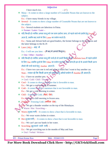|   | Adjective                                                                                           |        |
|---|-----------------------------------------------------------------------------------------------------|--------|
|   | I have much rice.<br>$-(\checkmark)$                                                                |        |
| 參 | Many – It comes to show a large number of Countable Nouns that are known to the<br>subject.         |        |
|   | Ex.:- I have many friends in my village.                                                            |        |
|   | ❖ Several – It comes to show a large number of Countable Nouns that are not known to                |        |
|   | the subject.                                                                                        |        |
|   | Ex.:- Several students are laborious in Patna.                                                      |        |
|   | $\triangleright$ Former / Latter / Later –                                                          |        |
|   | ❖ यदि किन्ही दो व्यक्ति अथवा वस्तु को एक साथ दर्शाया जाय, तो पहले वाले को दर्शाने हेतु Former       |        |
|   | आता है, जबकि बाद वाले के लिए Latter का प्रयोग करते हैं।                                             |        |
|   | Ex.:- Sonia and Advani both are good leaders, the former belongs to the Congress and                |        |
|   | the latter belongs to the B.J.P.                                                                    |        |
|   | • Later (Adj.) – बाद में                                                                            |        |
|   | Ex.:- I will see you later. - (मैं बाद में आपसे मिलूंगा।)                                           |        |
|   | $\triangleright$ One / Other / Another –                                                            |        |
|   | ❖ यदि किन्ही दो व्यक्ति अथवा वस्तु की चर्चा हो तो उनमें किसी की भी Indefinite form में पहले दर्शाने |        |
|   | के लिए One जबकि दूसरे के लिए Other का प्रयोग करते हैं, तथा साथ ही इन दो के अलावे किसी अन्य          |        |
|   | तीसरे की चर्चा करने हेतू Another आता हैं।                                                           |        |
|   | Ex.:- I have two cars one is red and other is black but I want to buy another car.                  |        |
|   | Note – ध्यान रहे कि किसी अन्य को दक्षाले हेतु अकेले प्रयोग में Another ही आता हैं।                  |        |
|   | Ex.:- I have no another pen.                                                                        |        |
|   | > Cool / Cold / Chill / Thunder                                                                     |        |
|   | $\triangleleft$ Cool – It comes to show a moisture that is favorable to man.                        |        |
|   | Ex.:- We get a cool morning in summer.                                                              |        |
|   | $\triangleleft$ Cold – It comes to show a moisture that is not favorable to man.                    |        |
|   | Ex.:- We get a cold morning in winter.                                                              |        |
|   | • Chill – Extremely Cold. (बेहद ठंडा)                                                               |        |
|   | Ex.: We get a chill morning in frozen area.                                                         |        |
|   | $\cdot$ Thunder – Freezing Cold. (बर्फीला ठंडा)                                                     |        |
|   | $\overline{Ex}$ We get a thunder weather on the top of the Himalayas.                               |        |
|   | Warm / Hot / Scorching -                                                                            |        |
|   | Warm (सुखद गर्मी) - It comes to show a heat that is favorable to man.                               |        |
|   | Ex.:- We wear warm clothes in winter.                                                               |        |
|   | • Hot (दखदगर्मी) - It comes to show a heat that is not favorable to man.                            |        |
|   | Ex.:- We can't put our hands in hot water.                                                          |        |
|   | * Scorching (झुलसाने वाली गर्मी) -                                                                  |        |
|   | Ex.:- We get scorching sun in the months of May and June.                                           |        |
|   | $\triangleright$ Oral / Verbal / Written –                                                          |        |
|   |                                                                                                     |        |
|   | <b>BY</b> - Pritam Kumar Raw<br>Mob. - 9534411155                                                   | Page 8 |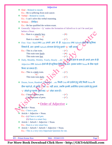|                                                                                                   | Adjective                                                       |                 |                                                                                                    |
|---------------------------------------------------------------------------------------------------|-----------------------------------------------------------------|-----------------|----------------------------------------------------------------------------------------------------|
| <b>Oral</b> – Related to mouth.<br>❖                                                              |                                                                 |                 |                                                                                                    |
| Ex.:- He is suffering from oral-cancer.                                                           |                                                                 |                 |                                                                                                    |
| ❖ Verbal – Related to words.                                                                      |                                                                 |                 |                                                                                                    |
| Ex.:- I can't solve this verbal reasoning.                                                        |                                                                 |                 |                                                                                                    |
| $\div$ Written – (लिखित)                                                                          |                                                                 |                 |                                                                                                    |
| Ex.:- He has qualified the written exam.                                                          |                                                                 |                 |                                                                                                    |
| $\triangleleft$ Generally 'Adjective + ly' makes the formation of Adverb so it can't be used just |                                                                 |                 |                                                                                                    |
| before a Noun.                                                                                    |                                                                 |                 |                                                                                                    |
| Ex.:- Ram is a smartly boy.                                                                       |                                                                 | $-({\bf x})$    |                                                                                                    |
| Adv.                                                                                              | N.                                                              |                 |                                                                                                    |
| Ram is a smart boy.                                                                               |                                                                 | $ (\checkmark)$ |                                                                                                    |
|                                                                                                   |                                                                 |                 | First / Fast / Hard तथा Last अपने आप में ही Adjective तथा Adverb दोनों की भूमिका                   |
|                                                                                                   | निभाते हैं, अतः इनको Adverb संरचना देने हेतू इनमे 'ly' नहीं आता |                 |                                                                                                    |
| Ex.:- This is a fast train.                                                                       |                                                                 | $-(\checkmark)$ |                                                                                                    |
| This train runs fastly.                                                                           |                                                                 | $=$ $(\star)$   |                                                                                                    |
| This train runs fast.                                                                             |                                                                 | $ (\checkmark)$ |                                                                                                    |
| 豪                                                                                                 |                                                                 |                 | Daily, Monthly, Weekly, Yearly, Hourly etc 'ly' से अंत होने के साथ ही अपने-आप में ही               |
|                                                                                                   |                                                                 |                 | Adjective तथा Adverb दोनों की ही भूमिका लिभाते हैं, अतः इसका प्रयोग Noun के ठीक पहले               |
| किया जा सकता हैं।                                                                                 |                                                                 |                 |                                                                                                    |
| Ex.:- This is a daily train.                                                                      |                                                                 | $-(\checkmark)$ |                                                                                                    |
| Adj.<br>This train runs daily.                                                                    | Adv.                                                            | $ (\checkmark)$ |                                                                                                    |
| ❖                                                                                                 |                                                                 |                 | Dozen, Score, Hundred, Thousand etc किसी Unit को दर्शाने हेतु यदि किसी Noun के                     |
|                                                                                                   |                                                                 |                 | ठीक पहले हो, तो <del>डूलमे 's '</del> र्था 'es' नहीं आता, जबकि इनकी असीमित दायरा दर्शाने हेतु इनमे |
|                                                                                                   | 's' जोड़ते हु एड़नके तुरंत बाद 'of' जोड़ा जाता हैं।             |                 |                                                                                                    |
| Ex.:- I have a dozen pens.                                                                        |                                                                 | $-(\checkmark)$ |                                                                                                    |
| I have dozens of pens.                                                                            |                                                                 | $-(\checkmark)$ |                                                                                                    |
|                                                                                                   | * Order of Adjective >                                          |                 |                                                                                                    |
|                                                                                                   |                                                                 |                 |                                                                                                    |
| Article + Noun.                                                                                   |                                                                 |                 |                                                                                                    |
| Ex.:- I have a pen.                                                                               |                                                                 |                 |                                                                                                    |
| $Article + Adjective + Noun.$                                                                     |                                                                 |                 |                                                                                                    |
| Ex.: (a) I have a red pen.<br>(b) Ram is a smart boy.                                             |                                                                 |                 |                                                                                                    |
| $Article + Adverb + Adjective + Noun.$<br>參                                                       |                                                                 |                 |                                                                                                    |
| Ex.:- Ram is a very smart boy.                                                                    |                                                                 |                 |                                                                                                    |
| 參                                                                                                 | $Article + Adverb + Adverb + Adjective + Noun.$                 |                 |                                                                                                    |
|                                                                                                   | Ex.:- This is a very-very Important Question for me.            |                 |                                                                                                    |
|                                                                                                   |                                                                 |                 |                                                                                                    |
| <b>BY</b> - Pritam Kumar Raw                                                                      | Mob. - 9534411155                                               |                 | Page 9                                                                                             |
|                                                                                                   |                                                                 |                 |                                                                                                    |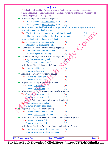| Adjective of Quality / Adjective of Area / Adjective of Category / Adjective of<br>Shape / Adjective of Size / Adjective of Colour / Adjective of Purpose / Adjective of<br>Status / Adjective of Filling etc.<br>$\bullet$ V-3 made Adjective + v4 made Adjective.<br>Ex.:- He has given me drinking boiled water. $-(x)$<br>He has given me <u>boiled drinking</u> water. $-(\checkmark)$ |         |
|---------------------------------------------------------------------------------------------------------------------------------------------------------------------------------------------------------------------------------------------------------------------------------------------------------------------------------------------------------------------------------------------|---------|
|                                                                                                                                                                                                                                                                                                                                                                                             |         |
|                                                                                                                                                                                                                                                                                                                                                                                             |         |
|                                                                                                                                                                                                                                                                                                                                                                                             |         |
|                                                                                                                                                                                                                                                                                                                                                                                             |         |
|                                                                                                                                                                                                                                                                                                                                                                                             |         |
|                                                                                                                                                                                                                                                                                                                                                                                             |         |
| ❖ If ordinal and co-ordinal both kinds of Adjective of number come together ordinal is                                                                                                                                                                                                                                                                                                      |         |
| written first and co-ordinal is latter.                                                                                                                                                                                                                                                                                                                                                     |         |
| Ex.:- The <u>five first</u> wicket have played well in this match.                                                                                                                                                                                                                                                                                                                          |         |
| The <u>first five</u> wicket have played well in this match.                                                                                                                                                                                                                                                                                                                                |         |
|                                                                                                                                                                                                                                                                                                                                                                                             |         |
| $\bullet$ Numerical Adjective + Possessive Adjective.                                                                                                                                                                                                                                                                                                                                       |         |
| Ex.:- My both pens are running well.<br>$ (x)$                                                                                                                                                                                                                                                                                                                                              |         |
| Both my pens are running well.<br>$ (\checkmark)$                                                                                                                                                                                                                                                                                                                                           |         |
| Numerical Adjective + Demonstrative Adjective.                                                                                                                                                                                                                                                                                                                                              |         |
| Ex.:- These both pens are running well.<br>$ (x)$                                                                                                                                                                                                                                                                                                                                           |         |
| Both these pens are running well.<br>$ (\checkmark)$                                                                                                                                                                                                                                                                                                                                        |         |
| $\bullet$ Demonstrative Adjective + Possessive Adjective.                                                                                                                                                                                                                                                                                                                                   |         |
| Ex.:- My this pen is running well.<br>– ( <b>×</b> )                                                                                                                                                                                                                                                                                                                                        |         |
| This my pen is running well.                                                                                                                                                                                                                                                                                                                                                                |         |
| Adjective of Size + Adjective of Colour.                                                                                                                                                                                                                                                                                                                                                    |         |
| Ex.:- I have a red big toy.<br>$\mathbf{(x)}$                                                                                                                                                                                                                                                                                                                                               |         |
| I have a big red toy.<br>$(\checkmark)$                                                                                                                                                                                                                                                                                                                                                     |         |
| Adjective of Quality + Adjective of Age.                                                                                                                                                                                                                                                                                                                                                    |         |
| Ex.:- I have a <u>new good</u> car.<br>$ (\star)$                                                                                                                                                                                                                                                                                                                                           |         |
| I have a good new car<br>$ (\checkmark)$                                                                                                                                                                                                                                                                                                                                                    |         |
| Adjective of Quality + Verb made Adjective.                                                                                                                                                                                                                                                                                                                                                 |         |
| Ex.:- I have a <b>broken</b> smart chair.<br>$ (\star)$                                                                                                                                                                                                                                                                                                                                     |         |
| I have a smart broken chair.<br>$ (\checkmark)$                                                                                                                                                                                                                                                                                                                                             |         |
| Adjective of Quality + Material Noun made Adjective.                                                                                                                                                                                                                                                                                                                                        |         |
| Ex.:- I have a plastic good chair.<br>$ (x)$                                                                                                                                                                                                                                                                                                                                                |         |
| I have a good plastic chair.<br>$ (\checkmark)$                                                                                                                                                                                                                                                                                                                                             |         |
| Verb made Adjective + Material Noun made Adjective.                                                                                                                                                                                                                                                                                                                                         |         |
|                                                                                                                                                                                                                                                                                                                                                                                             |         |
| Ex. Thave plastic broken chair.<br>$ (x)$                                                                                                                                                                                                                                                                                                                                                   |         |
| I have a <b>broken plastic</b> chair.<br>$ (\checkmark)$                                                                                                                                                                                                                                                                                                                                    |         |
| Adjective of Age + Adjective of Purpose.                                                                                                                                                                                                                                                                                                                                                    |         |
| Ex.:- I have a washing new machine.<br>$ (\star)$                                                                                                                                                                                                                                                                                                                                           |         |
| $ (\checkmark)$<br>I have a <u>new washing</u> machine.                                                                                                                                                                                                                                                                                                                                     |         |
| Material Noun made Adjective + Common Noun made Adjective.                                                                                                                                                                                                                                                                                                                                  |         |
| Ex.:- I have a <u>boy plastic</u> doll.<br>$ (\star)$                                                                                                                                                                                                                                                                                                                                       |         |
| $ (\checkmark)$<br>I have a plastic boy doll.                                                                                                                                                                                                                                                                                                                                               |         |
| Adjective of Quality + Adjective of Age + Adjective of Purpose.                                                                                                                                                                                                                                                                                                                             |         |
| Ex.:- I have a new good washing machine.<br>$ (\star)$                                                                                                                                                                                                                                                                                                                                      |         |
| I have a good new washing machine.<br>$-(\checkmark)$                                                                                                                                                                                                                                                                                                                                       |         |
|                                                                                                                                                                                                                                                                                                                                                                                             |         |
| <b>BY</b> - Pritam Kumar Raw<br>Mob. - 9534411155                                                                                                                                                                                                                                                                                                                                           | Page 10 |